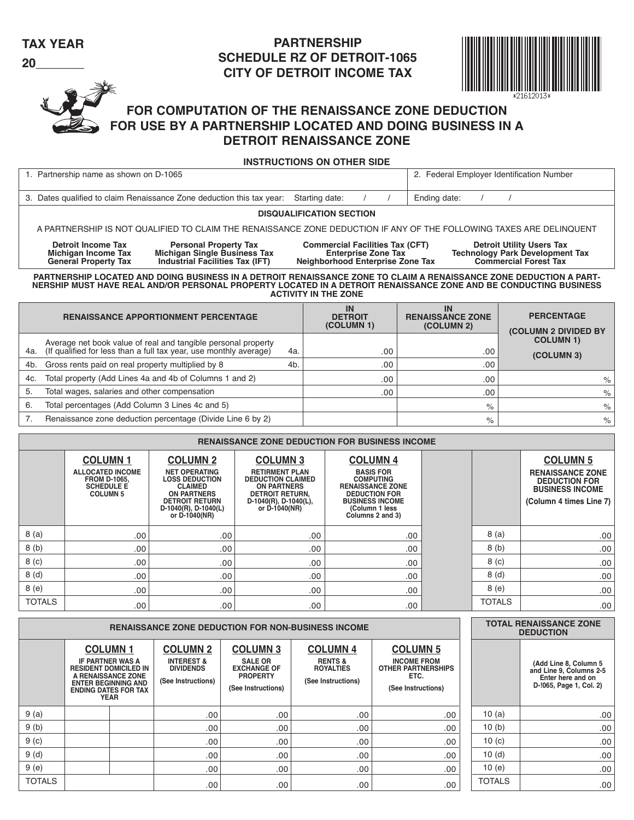**20\_\_\_\_\_\_\_**

### **PARTNERSHIP SCHEDULE RZ OF DETROIT-1065 CITY OF DETROIT INCOME TAX**



## **FOR COMPUTATION OF THE RENAISSANCE ZONE DEDUCTION FOR USE BY A PARTNERSHIP LOCATED AND DOING BUSINESS IN A DETROIT RENAISSANCE ZONE**

**INSTRUCTIONS ON OTHER SIDE**

1. Partnership name as shown on D-1065 2. Federal Employer Identification Number

|                                                                                                                                                  | 3. Dates qualified to claim Renaissance Zone deduction this tax year:                                                                                                                                                                  |                                                                                                                                                                                 |                                                                                                                                                                      | Starting date: |                                                              | $\prime$                                                                                                                                                                                                               | Ending date:                                       | $\prime$                              | $\prime$                                  |                                                                                                                         |  |
|--------------------------------------------------------------------------------------------------------------------------------------------------|----------------------------------------------------------------------------------------------------------------------------------------------------------------------------------------------------------------------------------------|---------------------------------------------------------------------------------------------------------------------------------------------------------------------------------|----------------------------------------------------------------------------------------------------------------------------------------------------------------------|----------------|--------------------------------------------------------------|------------------------------------------------------------------------------------------------------------------------------------------------------------------------------------------------------------------------|----------------------------------------------------|---------------------------------------|-------------------------------------------|-------------------------------------------------------------------------------------------------------------------------|--|
|                                                                                                                                                  |                                                                                                                                                                                                                                        |                                                                                                                                                                                 |                                                                                                                                                                      |                | <b>DISQUALIFICATION SECTION</b>                              |                                                                                                                                                                                                                        |                                                    |                                       |                                           |                                                                                                                         |  |
|                                                                                                                                                  | A PARTNERSHIP IS NOT QUALIFIED TO CLAIM THE RENAISSANCE ZONE DEDUCTION IF ANY OF THE FOLLOWING TAXES ARE DELINQUENT                                                                                                                    |                                                                                                                                                                                 |                                                                                                                                                                      |                |                                                              |                                                                                                                                                                                                                        |                                                    |                                       |                                           |                                                                                                                         |  |
|                                                                                                                                                  | <b>Detroit Income Tax</b><br><b>Personal Property Tax</b><br><b>Michigan Single Business Tax</b><br>Michigan Income Tax<br><b>Industrial Facilities Tax (IFT)</b><br><b>General Property Tax</b>                                       |                                                                                                                                                                                 |                                                                                                                                                                      |                |                                                              | <b>Commercial Facilities Tax (CFT)</b><br><b>Detroit Utility Users Tax</b><br><b>Enterprise Zone Tax</b><br><b>Technology Park Development Tax</b><br><b>Commercial Forest Tax</b><br>Neighborhood Enterprise Zone Tax |                                                    |                                       |                                           |                                                                                                                         |  |
|                                                                                                                                                  | PARTNERSHIP LOCATED AND DOING BUSINESS IN A DETROIT RENAISSANCE ZONE TO CLAIM A RENAISSANCE ZONE DEDUCTION A PART-<br>NERSHIP MUST HAVE REAL AND/OR PERSONAL PROPERTY LOCATED IN A DETROIT RENAISSANCE ZONE AND BE CONDUCTING BUSINESS |                                                                                                                                                                                 |                                                                                                                                                                      |                | <b>ACTIVITY IN THE ZONE</b>                                  |                                                                                                                                                                                                                        |                                                    |                                       |                                           |                                                                                                                         |  |
| <b>RENAISSANCE APPORTIONMENT PERCENTAGE</b>                                                                                                      |                                                                                                                                                                                                                                        |                                                                                                                                                                                 |                                                                                                                                                                      |                | <b>IN</b><br><b>DETROIT</b><br>(COLUMN 1)                    |                                                                                                                                                                                                                        | <b>IN</b><br><b>RENAISSANCE ZONE</b><br>(COLUMN 2) |                                       | <b>PERCENTAGE</b><br>(COLUMN 2 DIVIDED BY |                                                                                                                         |  |
| Average net book value of real and tangible personal property<br>(If qualified for less than a full tax year, use monthly average)<br>4a.<br>4a. |                                                                                                                                                                                                                                        |                                                                                                                                                                                 |                                                                                                                                                                      |                | .00                                                          |                                                                                                                                                                                                                        |                                                    | <b>COLUMN 1)</b><br>.00<br>(COLUMN 3) |                                           |                                                                                                                         |  |
| 4b.                                                                                                                                              | Gross rents paid on real property multiplied by 8<br>4b.                                                                                                                                                                               |                                                                                                                                                                                 |                                                                                                                                                                      |                | .00                                                          |                                                                                                                                                                                                                        |                                                    | .00                                   |                                           |                                                                                                                         |  |
| 4с.                                                                                                                                              | Total property (Add Lines 4a and 4b of Columns 1 and 2)                                                                                                                                                                                |                                                                                                                                                                                 |                                                                                                                                                                      |                |                                                              | .00                                                                                                                                                                                                                    |                                                    |                                       | .00<br>%                                  |                                                                                                                         |  |
| 5.                                                                                                                                               | Total wages, salaries and other compensation                                                                                                                                                                                           |                                                                                                                                                                                 |                                                                                                                                                                      |                | .00                                                          |                                                                                                                                                                                                                        | .00<br>$\%$                                        |                                       |                                           |                                                                                                                         |  |
| 6.                                                                                                                                               | Total percentages (Add Column 3 Lines 4c and 5)                                                                                                                                                                                        |                                                                                                                                                                                 |                                                                                                                                                                      |                |                                                              |                                                                                                                                                                                                                        |                                                    | $\frac{1}{2}$                         |                                           | $\%$                                                                                                                    |  |
| 7.                                                                                                                                               | Renaissance zone deduction percentage (Divide Line 6 by 2)                                                                                                                                                                             |                                                                                                                                                                                 |                                                                                                                                                                      |                |                                                              |                                                                                                                                                                                                                        |                                                    | $\frac{1}{2}$                         |                                           | $\%$                                                                                                                    |  |
|                                                                                                                                                  |                                                                                                                                                                                                                                        |                                                                                                                                                                                 | <b>RENAISSANCE ZONE DEDUCTION FOR BUSINESS INCOME</b>                                                                                                                |                |                                                              |                                                                                                                                                                                                                        |                                                    |                                       |                                           |                                                                                                                         |  |
|                                                                                                                                                  | <b>COLUMN1</b><br><b>ALLOCATED INCOME</b><br><b>FROM D-1065.</b><br><b>SCHEDULE E</b><br><b>COLUMN 5</b>                                                                                                                               | <b>COLUMN 2</b><br><b>NET OPERATING</b><br><b>LOSS DEDUCTION</b><br><b>CLAIMED</b><br><b>ON PARTNERS</b><br><b>DETROIT RETURN</b><br>$D-1040(R)$ , $D-1040(L)$<br>or D-1040(NR) | <b>COLUMN 3</b><br><b>RETIRMENT PLAN</b><br><b>DEDUCTION CLAIMED</b><br><b>ON PARTNERS</b><br><b>DETROIT RETURN,</b><br>$D-1040(R)$ , $D-1040(L)$ ,<br>or D-1040(NR) |                | <b>RENAISSANCE ZONE</b>                                      | <b>COLUMN 4</b><br><b>BASIS FOR</b><br><b>COMPUTING</b><br><b>DEDUCTION FOR</b><br><b>BUSINESS INCOME</b><br>(Column 1 less<br>Columns 2 and 3)                                                                        |                                                    |                                       |                                           | <b>COLUMN 5</b><br><b>RENAISSANCE ZONE</b><br><b>DEDUCTION FOR</b><br><b>BUSINESS INCOME</b><br>(Column 4 times Line 7) |  |
| 8(a)                                                                                                                                             | .00                                                                                                                                                                                                                                    |                                                                                                                                                                                 | .00                                                                                                                                                                  | .00            |                                                              |                                                                                                                                                                                                                        | .00                                                | 8 (a)                                 |                                           | .00                                                                                                                     |  |
| 8(b)                                                                                                                                             | .00                                                                                                                                                                                                                                    |                                                                                                                                                                                 | .00                                                                                                                                                                  | .00            |                                                              |                                                                                                                                                                                                                        | .00                                                | 8(b)                                  |                                           | .00                                                                                                                     |  |
| 8 <sub>(c)</sub>                                                                                                                                 | .00                                                                                                                                                                                                                                    |                                                                                                                                                                                 | .00                                                                                                                                                                  | .00            |                                                              |                                                                                                                                                                                                                        | .00                                                | 8( c)                                 |                                           | .00                                                                                                                     |  |
| 8(d)                                                                                                                                             | .00                                                                                                                                                                                                                                    |                                                                                                                                                                                 | .00                                                                                                                                                                  | .00            |                                                              |                                                                                                                                                                                                                        | .00                                                | 8(d)                                  |                                           | .00                                                                                                                     |  |
| 8 (e)<br><b>TOTALS</b>                                                                                                                           | .00                                                                                                                                                                                                                                    |                                                                                                                                                                                 | .00                                                                                                                                                                  | .00            |                                                              |                                                                                                                                                                                                                        | .00                                                | 8(e)<br><b>TOTALS</b>                 |                                           | .00                                                                                                                     |  |
|                                                                                                                                                  | .00                                                                                                                                                                                                                                    |                                                                                                                                                                                 | .00                                                                                                                                                                  | .00            |                                                              |                                                                                                                                                                                                                        | .00                                                |                                       |                                           | .00                                                                                                                     |  |
|                                                                                                                                                  |                                                                                                                                                                                                                                        | <b>RENAISSANCE ZONE DEDUCTION FOR NON-BUSINESS INCOME</b>                                                                                                                       |                                                                                                                                                                      |                |                                                              |                                                                                                                                                                                                                        |                                                    |                                       |                                           | <b>TOTAL RENAISSANCE ZONE</b><br><b>DEDUCTION</b>                                                                       |  |
|                                                                                                                                                  | <b>COLUMN1</b>                                                                                                                                                                                                                         | <b>COLUMN 2</b>                                                                                                                                                                 | <b>COLUMN 3</b>                                                                                                                                                      |                | <b>COLUMN 4</b>                                              |                                                                                                                                                                                                                        | <b>COLUMN 5</b>                                    |                                       |                                           |                                                                                                                         |  |
|                                                                                                                                                  | <b>IF PARTNER WAS A</b><br><b>RESIDENT DOMICILED IN</b><br>A RENAISSANCE ZONE<br><b>ENTER BEGINNING AND</b><br><b>ENDING DATES FOR TAX</b><br><b>YEAR</b>                                                                              | <b>INTEREST &amp;</b><br><b>DIVIDENDS</b><br>(See Instructions)                                                                                                                 | <b>SALE OR</b><br><b>EXCHANGE OF</b><br><b>PROPERTY</b><br>(See Instructions)                                                                                        |                | <b>RENTS &amp;</b><br><b>ROYALTIES</b><br>(See Instructions) | <b>INCOME FROM</b><br><b>OTHER PARTNERSHIPS</b><br>ETC.<br>(See Instructions)                                                                                                                                          |                                                    |                                       |                                           | (Add Line 8, Column 5<br>and Line 9, Columns 2-5<br>Enter here and on<br>D-!065, Page 1, Col. 2)                        |  |
| 9(a)                                                                                                                                             |                                                                                                                                                                                                                                        | .00                                                                                                                                                                             | .00                                                                                                                                                                  |                | .00                                                          |                                                                                                                                                                                                                        | .00                                                | 10(a)                                 |                                           | .00                                                                                                                     |  |
| 9(b)                                                                                                                                             |                                                                                                                                                                                                                                        | .00                                                                                                                                                                             | .00                                                                                                                                                                  |                | .00                                                          | .00                                                                                                                                                                                                                    |                                                    | 10 <sub>(b)</sub>                     |                                           | .00                                                                                                                     |  |
| 9(c)                                                                                                                                             |                                                                                                                                                                                                                                        | .00                                                                                                                                                                             | .00                                                                                                                                                                  |                | .00                                                          |                                                                                                                                                                                                                        | .00                                                | 10 $(c)$                              |                                           | .00                                                                                                                     |  |
| 9(d)                                                                                                                                             |                                                                                                                                                                                                                                        | .00                                                                                                                                                                             | .00                                                                                                                                                                  |                | .00                                                          |                                                                                                                                                                                                                        | .00                                                | 10(d)                                 |                                           | .00                                                                                                                     |  |
| 9(e)                                                                                                                                             |                                                                                                                                                                                                                                        | .00                                                                                                                                                                             | .00                                                                                                                                                                  |                | .00                                                          |                                                                                                                                                                                                                        | .00                                                | 10 $(e)$                              |                                           | .00                                                                                                                     |  |
| <b>TOTALS</b>                                                                                                                                    |                                                                                                                                                                                                                                        | .00                                                                                                                                                                             | .00                                                                                                                                                                  |                | .00.                                                         |                                                                                                                                                                                                                        | .00                                                | <b>TOTALS</b>                         |                                           | .00.                                                                                                                    |  |